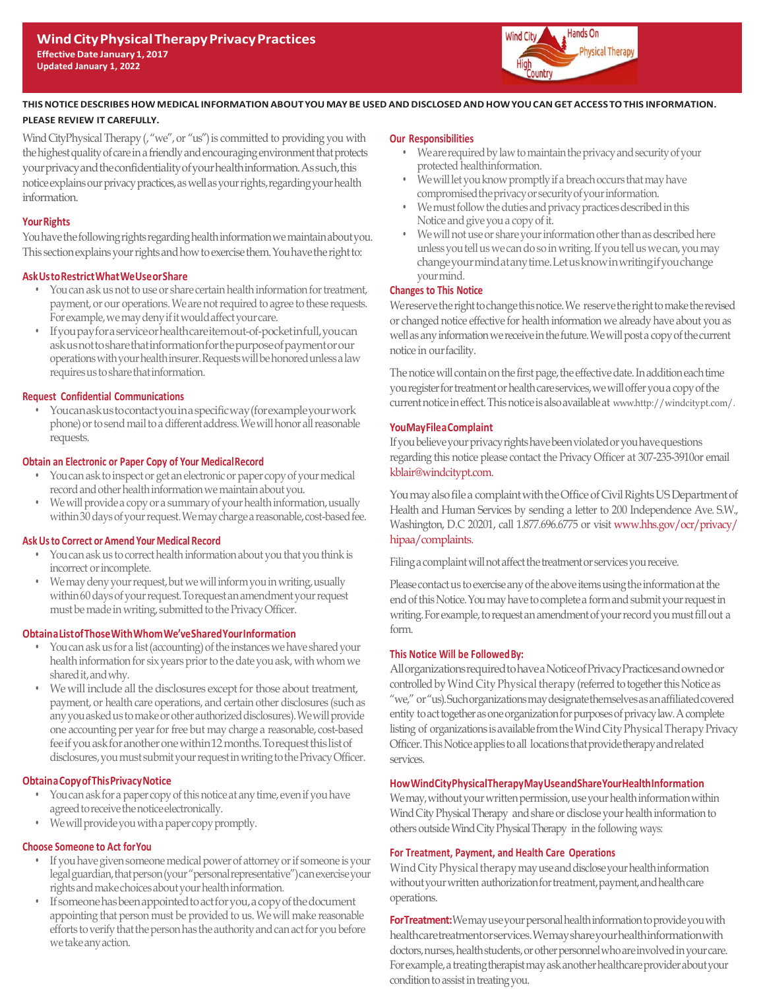

# **THISNOTICEDESCRIBES HOW MEDICAL INFORMATION ABOUT YOU MAY BE USED ANDDISCLOSED AND HOWYOU CAN GET ACCESSTOTHIS INFORMATION. PLEASE REVIEW IT CAREFULLY.**

Wind CityPhysical Therapy (, "we", or "us") is committed to providing you with the highest quality of care in a friendly and encouraging environment that protects yourprivacyandtheconfidentialityofyourhealthinformation.Assuch,this notice explains our privacy practices, as well as your rights, regarding your health information.

#### **Your Rights**

You have the following rights regarding health information we maintain about you. This section explains your rights and how to exercise them. You have the right to:

#### **AskUstoRestrictWhatWeUseorShare**

- You can ask us not to use or share certain health information for treatment, payment, or our operations. We are not required to agree to these requests. For example, we may deny if it would affect your care.
- Ifyoupayfor a serviceorhealthcareitemout-of-pocketinfull,youcan askusnottosharethatinformationforthepurposeofpaymentorour operations with your health insurer. Requests will be honored unless a law requires us to share that information.

## **Request Confidential Communications**

• Youcanaskustocontactyouin a specificway(forexampleyourwork phone) or to send mail to a different address. We will honor all reasonable requests.

## **Obtain an Electronic or Paper Copy of Your MedicalRecord**

- You can ask to inspect or get an electronic or paper copy of your medical record and other health information we maintain about you.
- We will provide a copy or a summary of your health information, usually within 30 days of your request. We may charge a reasonable, cost-based fee.

#### **AskUsto Correct or Amend Your Medical Record**

- You can ask us to correct health information about you that you think is incorrect or incomplete.
- We may deny your request, but we will inform you in writing, usually within 60 days of your request. To request an amendment your request must be made in writing, submitted to the Privacy Officer.

#### **Obtain a ListofThoseWithWhomWe'veSharedYour Information**

- You can ask us for a list (accounting) of the instances we have shared your health information for six years prior to the date you ask, with whom we shared it, and why.
- We will include all the disclosures except for those about treatment, payment, or health care operations, and certain other disclosures (such as any you asked us to make or other authorized disclosures). We will provide one accounting per year for free but may charge a reasonable, cost-based fee if you ask for another one within 12 months. To request this list of disclosures, you must submit your request in writing to the Privacy Officer.

#### **Obtain a Copy of ThisPrivacyNotice**

- You can ask for a paper copy of this notice at any time, even if you have agreed to receive the notice electronically.
- Wewill provide you with a paper copy promptly.

# **Choose Someone to Act forYou**

- If you have given someone medical power of attorney or if someone is your legal guardian, that person (your "personal representative") can exercise your rights and make choices about your health information.
- Ifsomeonehasbeenappointedtoactforyou, a copyofthedocument appointing that person must be provided to us. We will make reasonable efforts to verify that the person has the authority and can act for you before wetakeanyaction.

#### **Our Responsibilities**

- Weare required by law to maintain the privacy and security of your protected healthinformation.
- We will let you know promptly if a breach occurs that may have compromised the privacy or security of your information.
- We must follow the duties and privacy practices described in this Notice and give you a copy of it.
- We will not use or share your information other than as described here unless you tell us we can do so in writing. If you tell us we can, you may changeyourmindatanytime.Letusknowinwritingifyouchange yourmind.

## **Changes to This Notice**

We reserve the right to change this notice. We reserve the right to make the revised or changed notice effective for health information we already have about you as well as any information we receive in the future. We will post a copy of the current notice in ourfacility.

The notice will contain on the first page, the effective date. In addition each time you register for treatment or health care services, we will offer you a copy of the current notice in effect. This notice is also available at www.[http://windcitypt.com/](http://www.atipt.com/).

## **YouMayFilea Complaint**

If you believe your privacy rights have been violated or you have questions regarding this notice please contact the Privacy Officer at 307-235-3910or email [kblair@windcitypt.com](mailto:Compliance@atipt.com).

You may also file a complaint with the Office of Civil Rights US Department of Health and Human Services by sending a letter to 200 Independence Ave. S.W., Washington, D.C 20201, call 1.877.696.6775 or visit [www.hhs.gov/ocr/privacy/](http://www.hhs.gov/ocr/privacy/) hipaa/complaints.

Filing a complaint will not affect the treatment or services you receive.

Please contact us to exercise any of the above items using the information at the end of this Notice. You may have to complete a form and submit your request in writing. For example, to request an amendment of your record you must fill out a form.

#### **This Notice Will be FollowedBy:**

Allorganizationsrequiredtohavea NoticeofPrivacyPracticesandownedor controlled by Wind City Physical therapy (referred to together this Notice as "we," or"us).Suchorganizationsmaydesignatethemselvesasanaffiliatedcovered entity to act together as one organization for purposes of privacy law. A complete listing of organizations is available from the Wind City Physical Therapy Privacy Officer. This Notice applies to all locations that provide therapy and related services.

# **How Wind City Physical Therapy MayUseandShareYourHealthInformation**

We may, without your written permission, use your health information within Wind City Physical Therapy and share or disclose your health information to others outsideWind City Physical Therapy in the following ways:

# **For Treatment, Payment, and Health Care Operations**

Wind City Physical therapy may use and disclose your health information without your written authorization for treatment, payment, and health care operations.

ForTreatment: We may use your personal health information to provide you with healthcaretreatmentorservices.Wemayshareyourhealthinformationwith doctors, nurses, health students, or other personnel who are involved in your care. For example, a treating therapist may ask another healthcare provider about your condition to assist in treating you.